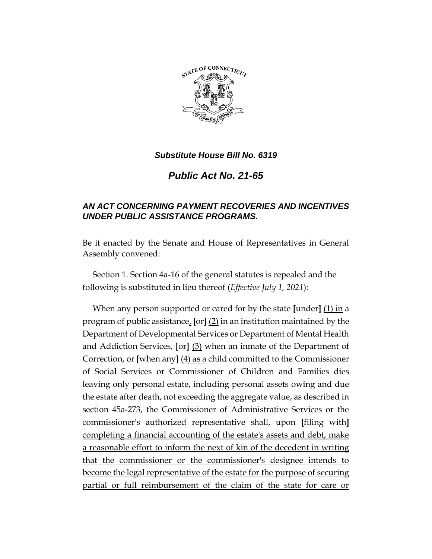

## *Substitute House Bill No. 6319*

*Public Act No. 21-65*

## *AN ACT CONCERNING PAYMENT RECOVERIES AND INCENTIVES UNDER PUBLIC ASSISTANCE PROGRAMS.*

Be it enacted by the Senate and House of Representatives in General Assembly convened:

Section 1. Section 4a-16 of the general statutes is repealed and the following is substituted in lieu thereof (*Effective July 1, 2021*):

When any person supported or cared for by the state **[**under**]** (1) in a program of public assistance, **[**or**]** (2) in an institution maintained by the Department of Developmental Services or Department of Mental Health and Addiction Services, **[**or**]** (3) when an inmate of the Department of Correction, or **[**when any**]** (4) as a child committed to the Commissioner of Social Services or Commissioner of Children and Families dies leaving only personal estate, including personal assets owing and due the estate after death, not exceeding the aggregate value, as described in section 45a-273, the Commissioner of Administrative Services or the commissioner's authorized representative shall, upon **[**filing with**]** completing a financial accounting of the estate's assets and debt, make a reasonable effort to inform the next of kin of the decedent in writing that the commissioner or the commissioner's designee intends to become the legal representative of the estate for the purpose of securing partial or full reimbursement of the claim of the state for care or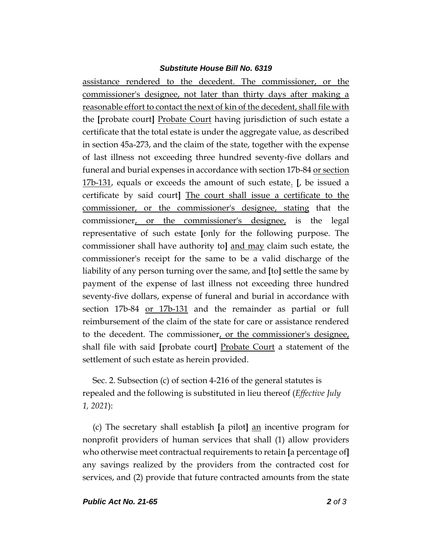## *Substitute House Bill No. 6319*

assistance rendered to the decedent. The commissioner, or the commissioner's designee, not later than thirty days after making a reasonable effort to contact the next of kin of the decedent, shall file with the **[**probate court**]** Probate Court having jurisdiction of such estate a certificate that the total estate is under the aggregate value, as described in section 45a-273, and the claim of the state, together with the expense of last illness not exceeding three hundred seventy-five dollars and funeral and burial expenses in accordance with section 17b-84 or section 17b-131, equals or exceeds the amount of such estate. **[**, be issued a certificate by said court**]** The court shall issue a certificate to the commissioner, or the commissioner's designee, stating that the commissioner, or the commissioner's designee, is the legal representative of such estate **[**only for the following purpose. The commissioner shall have authority to**]** and may claim such estate, the commissioner's receipt for the same to be a valid discharge of the liability of any person turning over the same, and **[**to**]** settle the same by payment of the expense of last illness not exceeding three hundred seventy-five dollars, expense of funeral and burial in accordance with section 17b-84 or 17b-131 and the remainder as partial or full reimbursement of the claim of the state for care or assistance rendered to the decedent. The commissioner, or the commissioner's designee, shall file with said **[**probate court**]** Probate Court a statement of the settlement of such estate as herein provided.

Sec. 2. Subsection (c) of section 4-216 of the general statutes is repealed and the following is substituted in lieu thereof (*Effective July 1, 2021*):

(c) The secretary shall establish **[**a pilot**]** an incentive program for nonprofit providers of human services that shall (1) allow providers who otherwise meet contractual requirements to retain **[**a percentage of**]** any savings realized by the providers from the contracted cost for services, and (2) provide that future contracted amounts from the state